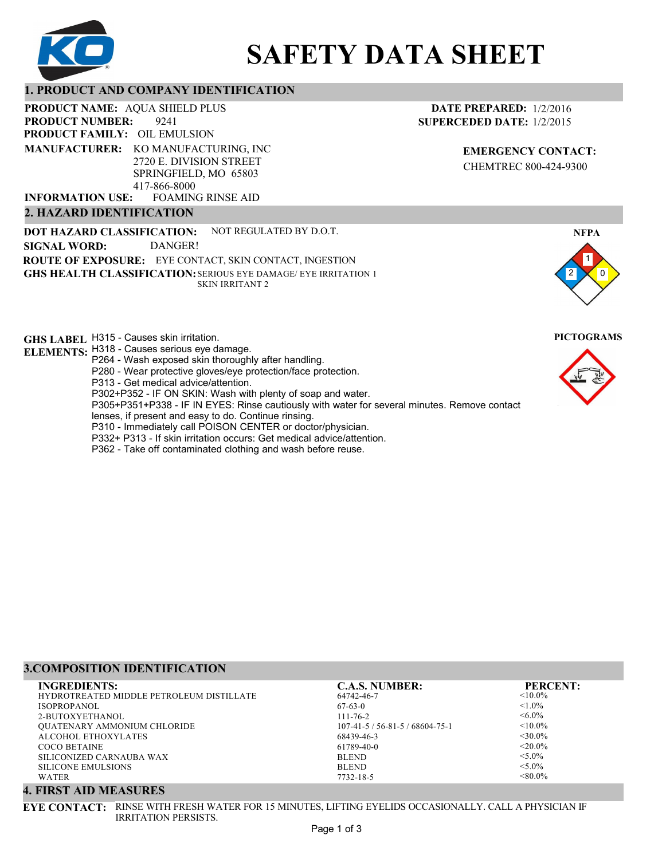

# **SAFETY DATA SHEET**

# **1. PRODUCT AND COMPANY IDENTIFICATION**

**PRODUCT NAME: AQUA SHIELD PLUS** 

9241 **PRODUCT FAMILY: OIL EMULSION** FOAMING RINSE AID **PRODUCT NUMBER: MANUFACTURER:** KO MANUFACTURING, INC 2720 E. DIVISION STREET SPRINGFIELD, MO 65803 417-866-8000 **INFORMATION USE:**

# **2. HAZARD IDENTIFICATION**

**DOT HAZARD CLASSIFICATION: GHS HEALTH CLASSIFICATION:** SERIOUS EYE DAMAGE/ EYE IRRITATION 1 **ROUTE OF EXPOSURE:** EYE CONTACT, SKIN CONTACT, INGESTION NOT REGULATED BY D.O.T. SKIN IRRITANT 2 **SIGNAL WORD:** DANGER!

**GHS LABEL**  H315 - Causes skin irritation. **PICTOGRAMS**

- **ELEMENTS:** H318 Causes serious eye damage. P264 - Wash exposed skin thoroughly after handling.
	- P280 Wear protective gloves/eye protection/face protection.
	- P313 Get medical advice/attention.
	- P302+P352 IF ON SKIN: Wash with plenty of soap and water.

P305+P351+P338 - IF IN EYES: Rinse cautiously with water for several minutes. Remove contact

- lenses, if present and easy to do. Continue rinsing.
- P310 Immediately call POISON CENTER or doctor/physician.
- P332+ P313 If skin irritation occurs: Get medical advice/attention.
- P362 Take off contaminated clothing and wash before reuse.

# **3.COMPOSITION IDENTIFICATION**

| <b>INGREDIENTS:</b>                      | <b>C.A.S. NUMBER:</b>         | <b>PERCENT:</b> |
|------------------------------------------|-------------------------------|-----------------|
| HYDROTREATED MIDDLE PETROLEUM DISTILLATE | 64742-46-7                    | $< 10.0\%$      |
| ISOPROPANOL                              | $67-63-0$                     | $< 1.0\%$       |
| 2-BUTOXYETHANOL                          | $111 - 76 - 2$                | $<6.0\%$        |
| <b>OUATENARY AMMONIUM CHLORIDE</b>       | $107-41-5/56-81-5/68604-75-1$ | $< 10.0\%$      |
| ALCOHOL ETHOXYLATES                      | 68439-46-3                    | $<30.0\%$       |
| COCO BETAINE                             | 61789-40-0                    | $< 20.0\%$      |
| SILICONIZED CARNAUBA WAX                 | <b>BLEND</b>                  | $< 5.0\%$       |
| SILICONE EMULSIONS                       | <b>BLEND</b>                  | $< 5.0\%$       |
| <b>WATER</b>                             | 7732-18-5                     | $< 80.0\%$      |

# **4. FIRST AID MEASURES**

**EYE CONTACT:** RINSE WITH FRESH WATER FOR 15 MINUTES, LIFTING EYELIDS OCCASIONALLY. CALL A PHYSICIAN IF IRRITATION PERSISTS.

**NFPA**

**EMERGENCY CONTACT:** CHEMTREC 800-424-9300

**DATE PREPARED:** 1/2/2016 **SUPERCEDED DATE:** 1/2/2015

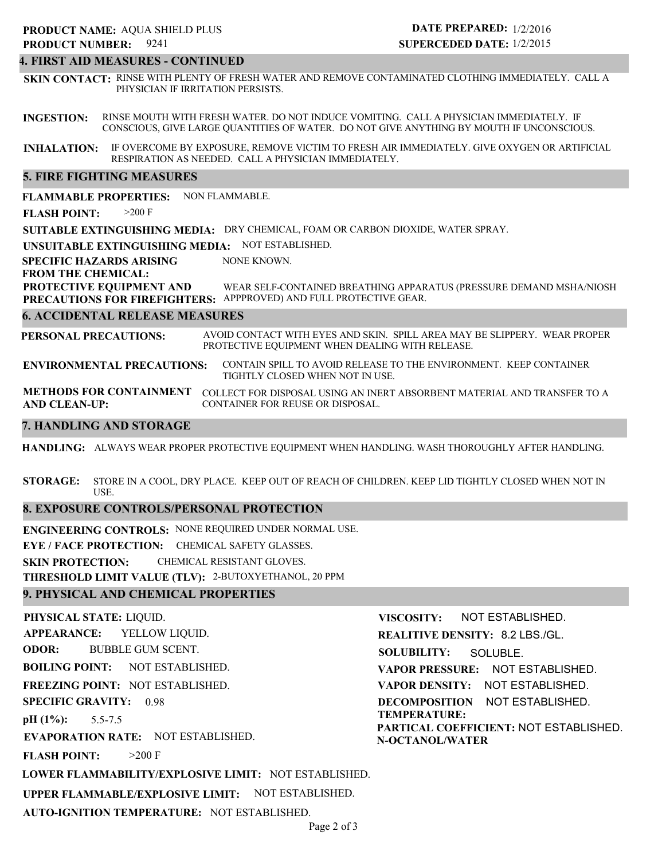# **4. FIRST AID MEASURES - CONTINUED**

**SKIN CONTACT:** RINSE WITH PLENTY OF FRESH WATER AND REMOVE CONTAMINATED CLOTHING IMMEDIATELY. CALL A PHYSICIAN IF IRRITATION PERSISTS.

**INGESTION:** RINSE MOUTH WITH FRESH WATER. DO NOT INDUCE VOMITING. CALL A PHYSICIAN IMMEDIATELY. IF CONSCIOUS, GIVE LARGE QUANTITIES OF WATER. DO NOT GIVE ANYTHING BY MOUTH IF UNCONSCIOUS.

**INHALATION:** IF OVERCOME BY EXPOSURE, REMOVE VICTIM TO FRESH AIR IMMEDIATELY. GIVE OXYGEN OR ARTIFICIAL RESPIRATION AS NEEDED. CALL A PHYSICIAN IMMEDIATELY.

# **5. FIRE FIGHTING MEASURES**

**FLAMMABLE PROPERTIES:** NON FLAMMABLE.

**FLASH POINT:** >200 F

**SUITABLE EXTINGUISHING MEDIA:** DRY CHEMICAL, FOAM OR CARBON DIOXIDE, WATER SPRAY.

**UNSUITABLE EXTINGUISHING MEDIA:** NOT ESTABLISHED.

**SPECIFIC HAZARDS ARISING** NONE KNOWN.

**FROM THE CHEMICAL:**

**PROTECTIVE EQUIPMENT AND PRECAUTIONS FOR FIREFIGHTERS:** APPPROVED) AND FULL PROTECTIVE GEAR. WEAR SELF-CONTAINED BREATHING APPARATUS (PRESSURE DEMAND MSHA/NIOSH

# **6. ACCIDENTAL RELEASE MEASURES**

**PERSONAL PRECAUTIONS:** AVOID CONTACT WITH EYES AND SKIN. SPILL AREA MAY BE SLIPPERY. WEAR PROPER PROTECTIVE EQUIPMENT WHEN DEALING WITH RELEASE.

**ENVIRONMENTAL PRECAUTIONS:** CONTAIN SPILL TO AVOID RELEASE TO THE ENVIRONMENT. KEEP CONTAINER TIGHTLY CLOSED WHEN NOT IN USE.

**METHODS FOR CONTAINMENT** COLLECT FOR DISPOSAL USING AN INERT ABSORBENT MATERIAL AND TRANSFER TO A **AND CLEAN-UP:** CONTAINER FOR REUSE OR DISPOSAL.

# **7. HANDLING AND STORAGE**

**HANDLING:** ALWAYS WEAR PROPER PROTECTIVE EQUIPMENT WHEN HANDLING. WASH THOROUGHLY AFTER HANDLING.

**STORAGE:** STORE IN A COOL, DRY PLACE. KEEP OUT OF REACH OF CHILDREN. KEEP LID TIGHTLY CLOSED WHEN NOT IN USE.

# **8. EXPOSURE CONTROLS/PERSONAL PROTECTION**

**ENGINEERING CONTROLS:** NONE REQUIRED UNDER NORMAL USE. **EYE / FACE PROTECTION:** CHEMICAL SAFETY GLASSES. **SKIN PROTECTION:** CHEMICAL RESISTANT GLOVES.

**THRESHOLD LIMIT VALUE (TLV):** 2-BUTOXYETHANOL, 20 PPM

# **9. PHYSICAL AND CHEMICAL PROPERTIES**

**AUTO-IGNITION TEMPERATURE:** NOT ESTABLISHED.

**PHYSICAL STATE:** LIQUID. **APPEARANCE: ODOR: BOILING POINT: FREEZING POINT:** NOT ESTABLISHED. **SPECIFIC GRAVITY:** 0.98 **pH (1%): EVAPORATION RATE:** NOT ESTABLISHED. **FLASH POINT: LOWER FLAMMABILITY/EXPLOSIVE LIMIT:** NOT ESTABLISHED. **UPPER FLAMMABLE/EXPLOSIVE LIMIT:** NOT ESTABLISHED. NOT ESTABLISHED. 5.5-7.5  $>200$  F YELLOW LIQUID. BUBBLE GUM SCENT. **VISCOSITY: REALITIVE DENSITY:** 8.2 LBS./GL. **SOLUBILITY: VAPOR PRESSURE:** NOT ESTABLISHED. **VAPOR DENSITY:** NOT ESTABLISHED. **DECOMPOSITION** NOT ESTABLISHED. **TEMPERATURE: PARTICAL COEFFICIENT:** NOT ESTABLISHED. **N-OCTANOL/WATER** NOT ESTABLISHED. SOLUBLE.